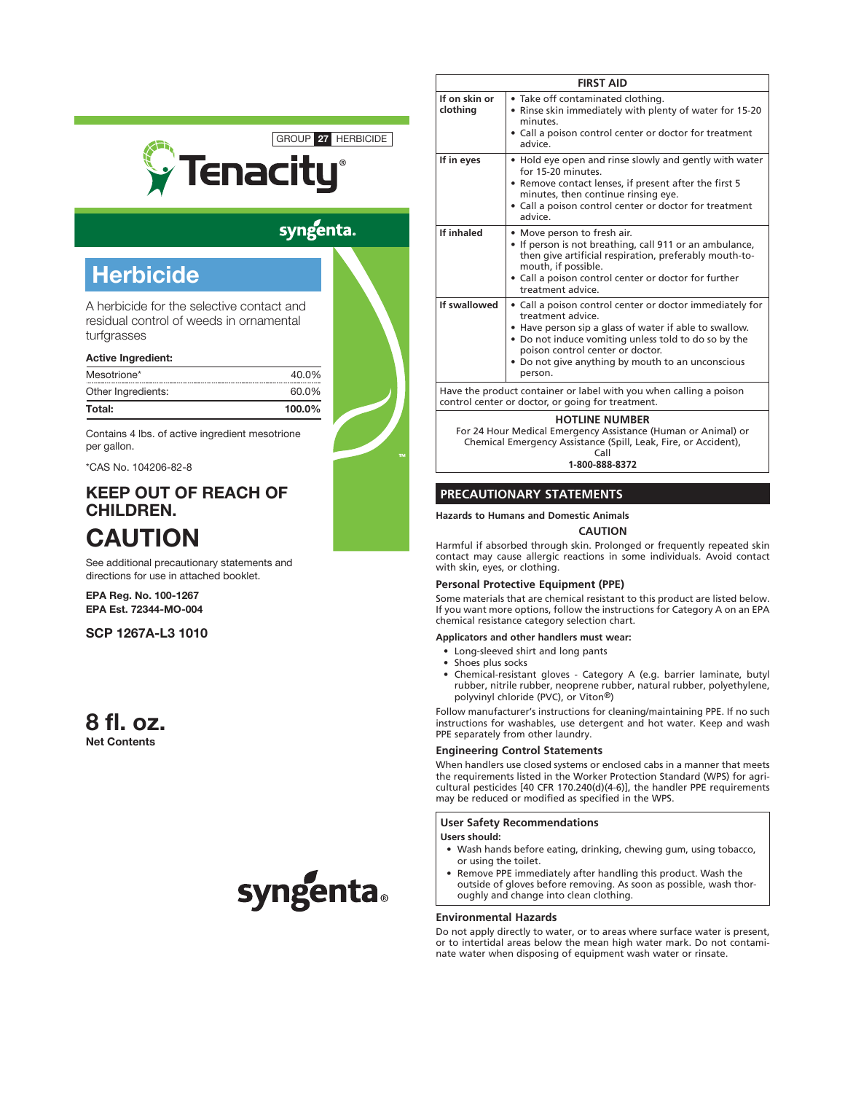

# syngenta.

# **Herbicide**

A herbicide for the selective contact and residual control of weeds in ornamental turfgrasses

#### Active Ingredient:

| Total:             | $100.0\%$ |
|--------------------|-----------|
| Other Ingredients: | 60.0%     |
| Mesotrione*        | 40.0%     |

Contains 4 lbs. of active ingredient mesotrione per gallon.

\*CAS No. 104206-82-8

# KEEP OUT OF REACH OF CHILDREN.

# **CAUTION**

See additional precautionary statements and directions for use in attached booklet.

EPA Reg. No. 100-1267 EPA Est. 72344-MO-004

SCP 1267A-L3 1010

## 8 fl. oz. Net Contents



| <b>FIRST AID</b>          |                                                                                                                                                                                                                                                                                                    |  |
|---------------------------|----------------------------------------------------------------------------------------------------------------------------------------------------------------------------------------------------------------------------------------------------------------------------------------------------|--|
| If on skin or<br>clothing | • Take off contaminated clothing.<br>• Rinse skin immediately with plenty of water for 15-20<br>minutes<br>• Call a poison control center or doctor for treatment<br>advice.                                                                                                                       |  |
| If in eyes                | • Hold eye open and rinse slowly and gently with water<br>for 15-20 minutes.<br>• Remove contact lenses, if present after the first 5<br>minutes, then continue rinsing eye.<br>• Call a poison control center or doctor for treatment<br>advice.                                                  |  |
| If inhaled                | • Move person to fresh air.<br>• If person is not breathing, call 911 or an ambulance,<br>then give artificial respiration, preferably mouth-to-<br>mouth, if possible.<br>• Call a poison control center or doctor for further<br>treatment advice.                                               |  |
| If swallowed              | • Call a poison control center or doctor immediately for<br>treatment advice<br>• Have person sip a glass of water if able to swallow.<br>• Do not induce vomiting unless told to do so by the<br>poison control center or doctor.<br>• Do not give anything by mouth to an unconscious<br>person. |  |
|                           | Have the product container or label with you when calling a poison<br>control center or doctor, or going for treatment.                                                                                                                                                                            |  |
|                           |                                                                                                                                                                                                                                                                                                    |  |

#### **HOTLINE NUMBER**

For 24 Hour Medical Emergency Assistance (Human or Animal) or Chemical Emergency Assistance (Spill, Leak, Fire, or Accident), Call

**1-800-888-8372**

#### **PRECAUTIONARY STATEMENTS**

**Hazards to Humans and Domestic Animals**

#### **CAUTION**

Harmful if absorbed through skin. Prolonged or frequently repeated skin contact may cause allergic reactions in some individuals. Avoid contact with skin, eyes, or clothing.

#### **Personal Protective Equipment (PPE)**

Some materials that are chemical resistant to this product are listed below. If you want more options, follow the instructions for Category A on an EPA chemical resistance category selection chart.

**Applicators and other handlers must wear:**

- • Long-sleeved shirt and long pants
- Shoes plus socks
- • Chemical-resistant gloves Category A (e.g. barrier laminate, butyl rubber, nitrile rubber, neoprene rubber, natural rubber, polyethylene, polyvinyl chloride (PVC), or Viton®)

Follow manufacturer's instructions for cleaning/maintaining PPE. If no such instructions for washables, use detergent and hot water. Keep and wash PPE separately from other laundry.

#### **Engineering Control Statements**

When handlers use closed systems or enclosed cabs in a manner that meets the requirements listed in the Worker Protection Standard (WPS) for agricultural pesticides [40 CFR 170.240(d)(4-6)], the handler PPE requirements may be reduced or modified as specified in the WPS.

#### **User Safety Recommendations**

**Users should:**

- • Wash hands before eating, drinking, chewing gum, using tobacco, or using the toilet.
- Remove PPE immediately after handling this product. Wash the outside of gloves before removing. As soon as possible, wash thoroughly and change into clean clothing.

#### **Environmental Hazards**

Do not apply directly to water, or to areas where surface water is present, or to intertidal areas below the mean high water mark. Do not contaminate water when disposing of equipment wash water or rinsate.

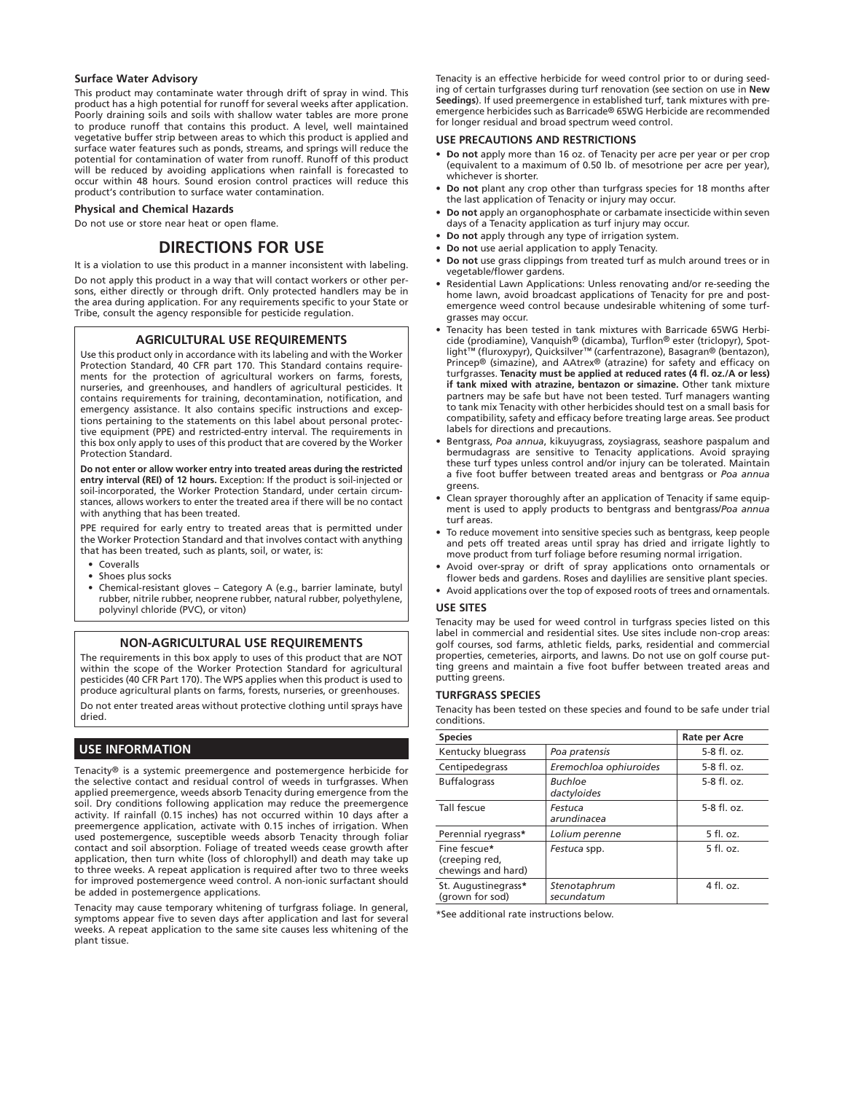#### **Surface Water Advisory**

This product may contaminate water through drift of spray in wind. This product has a high potential for runoff for several weeks after application. Poorly draining soils and soils with shallow water tables are more prone to produce runoff that contains this product. A level, well maintained vegetative buffer strip between areas to which this product is applied and surface water features such as ponds, streams, and springs will reduce the potential for contamination of water from runoff. Runoff of this product will be reduced by avoiding applications when rainfall is forecasted to occur within 48 hours. Sound erosion control practices will reduce this product's contribution to surface water contamination.

#### **Physical and Chemical Hazards**

Do not use or store near heat or open flame.

### **DIRECTIONS FOR USE**

It is a violation to use this product in a manner inconsistent with labeling. Do not apply this product in a way that will contact workers or other persons, either directly or through drift. Only protected handlers may be in the area during application. For any requirements specific to your State or Tribe, consult the agency responsible for pesticide regulation.

#### **AGRICULTURAL USE REQUIREMENTS**

Use this product only in accordance with its labeling and with the Worker Protection Standard, 40 CFR part 170. This Standard contains requirements for the protection of agricultural workers on farms, forests, nurseries, and greenhouses, and handlers of agricultural pesticides. It contains requirements for training, decontamination, notification, and emergency assistance. It also contains specific instructions and exceptions pertaining to the statements on this label about personal protective equipment (PPE) and restricted-entry interval. The requirements in this box only apply to uses of this product that are covered by the Worker Protection Standard.

**Do not enter or allow worker entry into treated areas during the restricted entry interval (REI) of 12 hours.** Exception: If the product is soil-injected or soil-incorporated, the Worker Protection Standard, under certain circumstances, allows workers to enter the treated area if there will be no contact with anything that has been treated.

PPE required for early entry to treated areas that is permitted under the Worker Protection Standard and that involves contact with anything that has been treated, such as plants, soil, or water, is:

- **Coveralls**
- Shoes plus socks
- Chemical-resistant gloves Category A (e.g., barrier laminate, butyl rubber, nitrile rubber, neoprene rubber, natural rubber, polyethylene, polyvinyl chloride (PVC), or viton)

#### **NON-AGRICULTURAL USE REQUIREMENTS**

The requirements in this box apply to uses of this product that are NOT within the scope of the Worker Protection Standard for agricultural pesticides (40 CFR Part 170). The WPS applies when this product is used to produce agricultural plants on farms, forests, nurseries, or greenhouses. Do not enter treated areas without protective clothing until sprays have dried.

## **USE INFORMATION**

Tenacity® is a systemic preemergence and postemergence herbicide for the selective contact and residual control of weeds in turfgrasses. When applied preemergence, weeds absorb Tenacity during emergence from the soil. Dry conditions following application may reduce the preemergence activity. If rainfall (0.15 inches) has not occurred within 10 days after a preemergence application, activate with 0.15 inches of irrigation. When used postemergence, susceptible weeds absorb Tenacity through foliar contact and soil absorption. Foliage of treated weeds cease growth after application, then turn white (loss of chlorophyll) and death may take up to three weeks. A repeat application is required after two to three weeks for improved postemergence weed control. A non-ionic surfactant should be added in postemergence applications.

Tenacity may cause temporary whitening of turfgrass foliage. In general, symptoms appear five to seven days after application and last for several weeks. A repeat application to the same site causes less whitening of the plant tissue.

Tenacity is an effective herbicide for weed control prior to or during seeding of certain turfgrasses during turf renovation (see section on use in **New Seedings**). If used preemergence in established turf, tank mixtures with preemergence herbicides such as Barricade® 65WG Herbicide are recommended for longer residual and broad spectrum weed control.

#### **USE PRECAUTIONS AND RESTRICTIONS**

- **• Do not** apply more than 16 oz. of Tenacity per acre per year or per crop (equivalent to a maximum of 0.50 lb. of mesotrione per acre per year), whichever is shorter.
- Do not plant any crop other than turfgrass species for 18 months after the last application of Tenacity or injury may occur.
- **Do not** apply an organophosphate or carbamate insecticide within seven days of a Tenacity application as turf injury may occur.
- **• Do not** apply through any type of irrigation system.
- **Do not** use aerial application to apply Tenacity.
- Do not use grass clippings from treated turf as mulch around trees or in vegetable/flower gardens.
- Residential Lawn Applications: Unless renovating and/or re-seeding the home lawn, avoid broadcast applications of Tenacity for pre and postemergence weed control because undesirable whitening of some turfgrasses may occur.
- • Tenacity has been tested in tank mixtures with Barricade 65WG Herbi-cide (prodiamine), Vanquish® (dicamba), Turflon® ester (triclopyr), Spotlight™ (fluroxypyr), Quicksilver™ (carfentrazone), Basagran® (bentazon), Princep® (simazine), and AAtrex® (atrazine) for safety and efficacy on turfgrasses. **Tenacity must be applied at reduced rates (4 fl. oz./A or less) if tank mixed with atrazine, bentazon or simazine.** Other tank mixture partners may be safe but have not been tested. Turf managers wanting to tank mix Tenacity with other herbicides should test on a small basis for compatibility, safety and efficacy before treating large areas. See product labels for directions and precautions.
- • Bentgrass, *Poa annua*, kikuyugrass, zoysiagrass, seashore paspalum and bermudagrass are sensitive to Tenacity applications. Avoid spraying these turf types unless control and/or injury can be tolerated. Maintain a five foot buffer between treated areas and bentgrass or *Poa annua* greens.
- Clean sprayer thoroughly after an application of Tenacity if same equipment is used to apply products to bentgrass and bentgrass/*Poa annua* turf areas.
- To reduce movement into sensitive species such as bentgrass, keep people and pets off treated areas until spray has dried and irrigate lightly to move product from turf foliage before resuming normal irrigation.
- Avoid over-spray or drift of spray applications onto ornamentals or flower beds and gardens. Roses and daylilies are sensitive plant species.
- Avoid applications over the top of exposed roots of trees and ornamentals.

#### **USE SITES**

Tenacity may be used for weed control in turfgrass species listed on this label in commercial and residential sites. Use sites include non-crop areas: golf courses, sod farms, athletic fields, parks, residential and commercial properties, cemeteries, airports, and lawns. Do not use on golf course putting greens and maintain a five foot buffer between treated areas and putting greens.

#### **TURFGRASS SPECIES**

Tenacity has been tested on these species and found to be safe under trial conditions.

| <b>Species</b>                                       |                            | Rate per Acre |
|------------------------------------------------------|----------------------------|---------------|
| Kentucky bluegrass                                   | Poa pratensis              | $5-8$ fl. oz. |
| Centipedegrass                                       | Eremochloa ophiuroides     | $5-8$ fl. oz. |
| <b>Buffalograss</b>                                  | Buchloe<br>dactyloides     | $5-8$ fl. oz. |
| Tall fescue                                          | Festuca<br>arundinacea     | $5-8$ fl. oz. |
| Perennial ryegrass*                                  | Lolium perenne             | $5$ fl. oz.   |
| Fine fescue*<br>(creeping red,<br>chewings and hard) | Festuca spp.               | $5$ fl. oz.   |
| St. Augustinegrass*<br>(grown for sod)               | Stenotaphrum<br>secundatum | $4$ fl. oz.   |

\*See additional rate instructions below.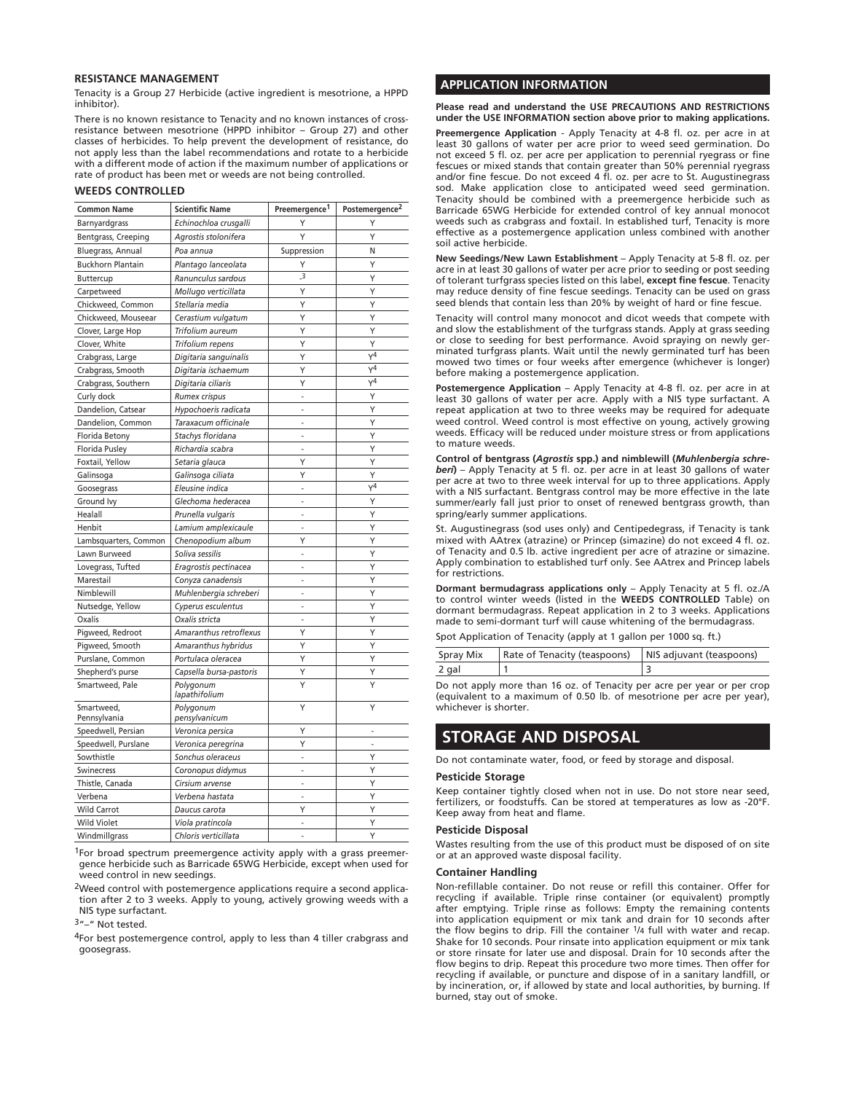#### **RESISTANCE MANAGEMENT**

Tenacity is a Group 27 Herbicide (active ingredient is mesotrione, a HPPD inhibitor).

There is no known resistance to Tenacity and no known instances of crossresistance between mesotrione (HPPD inhibitor – Group 27) and other classes of herbicides. To help prevent the development of resistance, do not apply less than the label recommendations and rotate to a herbicide with a different mode of action if the maximum number of applications or rate of product has been met or weeds are not being controlled.

#### **WEEDS CONTROLLED**

| <b>Common Name</b>         | <b>Scientific Name</b>     | Preemergence <sup>1</sup> | Postemergence <sup>2</sup> |
|----------------------------|----------------------------|---------------------------|----------------------------|
| Barnyardgrass              | Echinochloa crusgalli      | Υ                         | Υ                          |
| Bentgrass, Creeping        | Agrostis stolonifera       | Υ                         | Y                          |
| Bluegrass, Annual          | Poa annua                  | Suppression               | N                          |
| <b>Buckhorn Plantain</b>   | Plantago lanceolata        | Υ                         | Y                          |
| Buttercup                  | Ranunculus sardous         | $\overline{\mathbf{3}}$   | Y                          |
| Carpetweed                 | Mollugo verticillata       | Υ                         | Υ                          |
| Chickweed, Common          | Stellaria media            | Υ                         | Υ                          |
| Chickweed, Mouseear        | Cerastium vulgatum         | Υ                         | Υ                          |
| Clover, Large Hop          | Trifolium aureum           | Y                         | Y                          |
| Clover, White              | Trifolium repens           | Y                         | Y                          |
| Crabgrass, Large           | Digitaria sanguinalis      | Y                         | $\sqrt{4}$                 |
| Crabgrass, Smooth          | Digitaria ischaemum        | Y                         | $Y^4$                      |
| Crabgrass, Southern        | Digitaria ciliaris         | Υ                         | $\sqrt{4}$                 |
| Curly dock                 | Rumex crispus              | $\sim$                    | Y                          |
| Dandelion, Catsear         | Hypochoeris radicata       | $\overline{a}$            | Υ                          |
| Dandelion, Common          | Taraxacum officinale       | L                         | Y                          |
| Florida Betony             | Stachys floridana          | $\overline{a}$            | Y                          |
| Florida Pusley             | Richardia scabra           | $\overline{a}$            | Y                          |
| Foxtail, Yellow            | Setaria glauca             | Υ                         | Y                          |
| Galinsoga                  | Galinsoga ciliata          | Υ                         | Y                          |
| Goosegrass                 | Eleusine indica            | $\overline{a}$            | $Y^4$                      |
| Ground Ivy                 | Glechoma hederacea         | ÷,                        | Y                          |
| Healall                    | Prunella vulgaris          |                           | Y                          |
| Henbit                     | Lamium amplexicaule        |                           | Y                          |
| Lambsquarters, Common      | Chenopodium album          | Y                         | Y                          |
| Lawn Burweed               | Soliva sessilis            | $\overline{\phantom{a}}$  | Υ                          |
| Lovegrass, Tufted          | Eragrostis pectinacea      | ÷,                        | Υ                          |
| Marestail                  | Conyza canadensis          | $\sim$                    | Υ                          |
| Nimblewill                 | Muhlenbergia schreberi     | $\sim$                    | Y                          |
| Nutsedge, Yellow           | Cyperus esculentus         | ÷.                        | Y                          |
| Oxalis                     | Oxalis stricta             | $\overline{a}$            | Y                          |
| Pigweed, Redroot           | Amaranthus retroflexus     | Υ                         | Y                          |
| Pigweed, Smooth            | Amaranthus hybridus        | Υ                         | Y                          |
| Purslane, Common           | Portulaca oleracea         | Υ                         | Υ                          |
| Shepherd's purse           | Capsella bursa-pastoris    | Υ                         | Υ                          |
| Smartweed, Pale            | Polygonum<br>lapathifolium | Y                         | Y                          |
| Smartweed.<br>Pennsylvania | Polygonum<br>pensylvanicum | Υ                         | Y                          |
| Speedwell, Persian         | Veronica persica           | Υ                         | $\overline{a}$             |
| Speedwell, Purslane        | Veronica peregrina         | Y                         | ÷.                         |
| Sowthistle                 | Sonchus oleraceus          | ÷,                        | Υ                          |
| Swinecress                 | Coronopus didymus          | $\overline{a}$            | Υ                          |
| Thistle, Canada            | Cirsium arvense            | $\overline{a}$            | Υ                          |
| Verbena                    | Verbena hastata            | $\overline{a}$            | Y                          |
| <b>Wild Carrot</b>         | Daucus carota              | Υ                         | Υ                          |
| Wild Violet                | Viola pratincola           |                           | Y                          |
| Windmillarass              | Chloris verticillata       |                           | Y                          |

 $1$ For broad spectrum preemergence activity apply with a grass preemergence herbicide such as Barricade 65WG Herbicide, except when used for weed control in new seedings.

2Weed control with postemergence applications require a second application after 2 to 3 weeks. Apply to young, actively growing weeds with a NIS type surfactant.

3"–" Not tested.

4For best postemergence control, apply to less than 4 tiller crabgrass and goosegrass.

#### **APPLICATION INFORMATION**

**Please read and understand the USE PRECAUTIONS AND RESTRICTIONS under the USE INFORMATION section above prior to making applications.**

**Preemergence Application** - Apply Tenacity at 4-8 fl. oz. per acre in at least 30 gallons of water per acre prior to weed seed germination. Do not exceed 5 fl. oz. per acre per application to perennial ryegrass or fine fescues or mixed stands that contain greater than 50% perennial ryegrass and/or fine fescue. Do not exceed 4 fl. oz. per acre to St. Augustinegrass sod. Make application close to anticipated weed seed germination. Tenacity should be combined with a preemergence herbicide such as Barricade 65WG Herbicide for extended control of key annual monocot weeds such as crabgrass and foxtail. In established turf, Tenacity is more effective as a postemergence application unless combined with another soil active herbicide.

**New Seedings/New Lawn Establishment** – Apply Tenacity at 5-8 fl. oz. per acre in at least 30 gallons of water per acre prior to seeding or post seeding of tolerant turfgrass species listed on this label, **except fine fescue**. Tenacity may reduce density of fine fescue seedings. Tenacity can be used on grass seed blends that contain less than 20% by weight of hard or fine fescue.

Tenacity will control many monocot and dicot weeds that compete with and slow the establishment of the turfgrass stands. Apply at grass seeding or close to seeding for best performance. Avoid spraying on newly germinated turfgrass plants. Wait until the newly germinated turf has been mowed two times or four weeks after emergence (whichever is longer) before making a postemergence application.

**Postemergence Application** – Apply Tenacity at 4-8 fl. oz. per acre in at least 30 gallons of water per acre. Apply with a NIS type surfactant. A repeat application at two to three weeks may be required for adequate weed control. Weed control is most effective on young, actively growing weeds. Efficacy will be reduced under moisture stress or from applications to mature weeds.

**Control of bentgrass (***Agrostis* **spp.) and nimblewill (***Muhlenbergia schreberi***)** – Apply Tenacity at 5 fl. oz. per acre in at least 30 gallons of water per acre at two to three week interval for up to three applications. Apply with a NIS surfactant. Bentgrass control may be more effective in the late summer/early fall just prior to onset of renewed bentgrass growth, than spring/early summer applications.

St. Augustinegrass (sod uses only) and Centipedegrass, if Tenacity is tank mixed with AAtrex (atrazine) or Princep (simazine) do not exceed 4 fl. oz. of Tenacity and 0.5 lb. active ingredient per acre of atrazine or simazine. Apply combination to established turf only. See AAtrex and Princep labels for restrictions.

**Dormant bermudagrass applications only** – Apply Tenacity at 5 fl. oz./A to control winter weeds (listed in the **WEEDS CONTROLLED** Table) on dormant bermudagrass. Repeat application in 2 to 3 weeks. Applications made to semi-dormant turf will cause whitening of the bermudagrass.

Spot Application of Tenacity (apply at 1 gallon per 1000 sq. ft.)

| Spray Mix | Rate of Tenacity (teaspoons)   NIS adjuvant (teaspoons) |  |
|-----------|---------------------------------------------------------|--|
| 2 gal     |                                                         |  |

Do not apply more than 16 oz. of Tenacity per acre per year or per crop (equivalent to a maximum of 0.50 lb. of mesotrione per acre per year), whichever is shorter.

## **STORAGE AND DISPOSAL**

Do not contaminate water, food, or feed by storage and disposal.

#### **Pesticide Storage**

Keep container tightly closed when not in use. Do not store near seed, fertilizers, or foodstuffs. Can be stored at temperatures as low as -20°F. Keep away from heat and flame.

#### **Pesticide Disposal**

Wastes resulting from the use of this product must be disposed of on site or at an approved waste disposal facility.

#### **Container Handling**

Non-refillable container. Do not reuse or refill this container. Offer for recycling if available. Triple rinse container (or equivalent) promptly after emptying. Triple rinse as follows: Empty the remaining contents into application equipment or mix tank and drain for 10 seconds after the flow begins to drip. Fill the container 1/4 full with water and recap. Shake for 10 seconds. Pour rinsate into application equipment or mix tank or store rinsate for later use and disposal. Drain for 10 seconds after the flow begins to drip. Repeat this procedure two more times. Then offer for recycling if available, or puncture and dispose of in a sanitary landfill, or by incineration, or, if allowed by state and local authorities, by burning. If burned, stay out of smoke.